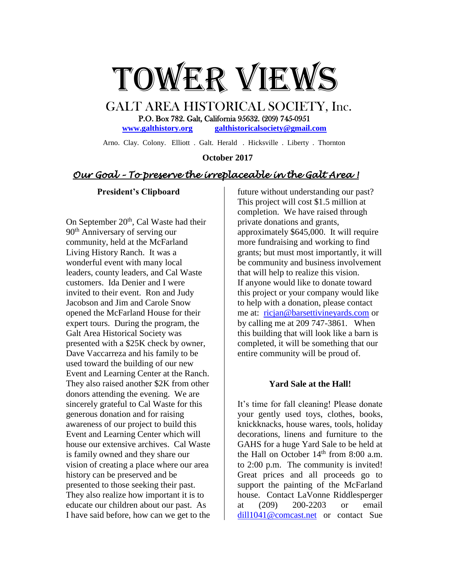

 GALT AREA HISTORICAL SOCIETY, Inc. P.O. Box 782. Galt, California 95632. (209) 745-0951 **[www.galthistory.org](http://www.galthistory.org/) [galthistoricalsociety@gmail.com](mailto:galthistoricalsociety@gmail.com)**

Arno. Clay. Colony. Elliott . Galt. Herald . Hicksville . Liberty . Thornton

 **October 2017**

# *Our Goal – To preserve the irreplaceable in the Galt Area !*

#### **President's Clipboard**

On September  $20<sup>th</sup>$ , Cal Waste had their 90<sup>th</sup> Anniversary of serving our community, held at the McFarland Living History Ranch. It was a wonderful event with many local leaders, county leaders, and Cal Waste customers. Ida Denier and I were invited to their event. Ron and Judy Jacobson and Jim and Carole Snow opened the McFarland House for their expert tours. During the program, the Galt Area Historical Society was presented with a \$25K check by owner, Dave Vaccarreza and his family to be used toward the building of our new Event and Learning Center at the Ranch. They also raised another \$2K from other donors attending the evening. We are sincerely grateful to Cal Waste for this generous donation and for raising awareness of our project to build this Event and Learning Center which will house our extensive archives. Cal Waste is family owned and they share our vision of creating a place where our area history can be preserved and be presented to those seeking their past. They also realize how important it is to educate our children about our past. As I have said before, how can we get to the

future without understanding our past? This project will cost \$1.5 million at completion. We have raised through private donations and grants, approximately \$645,000. It will require more fundraising and working to find grants; but must most importantly, it will be community and business involvement that will help to realize this vision. If anyone would like to donate toward this project or your company would like to help with a donation, please contact me at: [ricjan@barsettivineyards.com](mailto:ricjan@barsettivineyards.com) or by calling me at 209 747-3861. When this building that will look like a barn is completed, it will be something that our entire community will be proud of.

#### **Yard Sale at the Hall!**

It's time for fall cleaning! Please donate your gently used toys, clothes, books, knickknacks, house wares, tools, holiday decorations, linens and furniture to the GAHS for a huge Yard Sale to be held at the Hall on October  $14<sup>th</sup>$  from 8:00 a.m. to 2:00 p.m. The community is invited! Great prices and all proceeds go to support the painting of the McFarland house. Contact LaVonne Riddlesperger at (209) 200-2203 or email [dill1041@comcast.net](mailto:dill1041@comcast.net) or contact Sue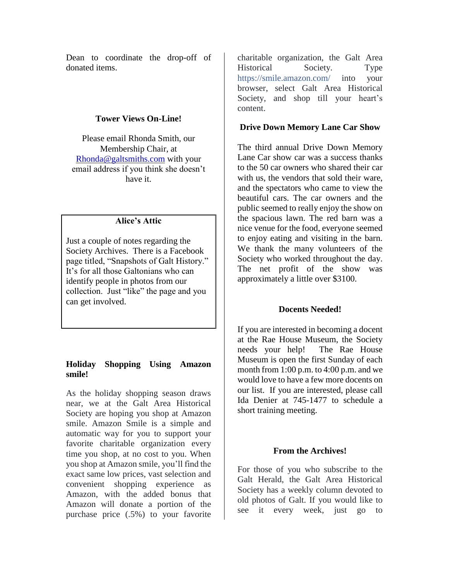Dean to coordinate the drop-off of donated items.

#### **Tower Views On-Line!**

Please email Rhonda Smith, our Membership Chair, at [Rhonda@galtsmiths.com](mailto:Rhonda@galtsmiths.com) with your email address if you think she doesn't have it.

## **Alice's Attic**

Just a couple of notes regarding the Society Archives. There is a Facebook page titled, "Snapshots of Galt History." It's for all those Galtonians who can identify people in photos from our collection. Just "like" the page and you can get involved.

### **Holiday Shopping Using Amazon smile!**

As the holiday shopping season draws near, we at the Galt Area Historical Society are hoping you shop at Amazon smile. Amazon Smile is a simple and automatic way for you to support your favorite charitable organization every time you shop, at no cost to you. When you shop at Amazon smile, you'll find the exact same low prices, vast selection and convenient shopping experience as Amazon, with the added bonus that Amazon will donate a portion of the purchase price (.5%) to your favorite

charitable organization, the Galt Area Historical Society. Type [https://smile.amazon.com/](https://l.facebook.com/l.php?u=https%3A%2F%2Fsmile.amazon.com%2F&h=ATOc0F64moQeemU7O5tkv4dLhUnWRmanOpcJRgQtmBiNkiYur7ketG_Sp0hENdRQF2e44sR0B1roGlztLyQ6BV-l57PFoXyqXlm8ihzrOt7vkH6Bv9PwoFOfsBdDyd04Ld31Tk4u0T2vMkGKa4-2Mud4Bf3IJhYo1JWDzlB0vHdOt0gqv2YNTy0Wvx5etV8wu7N8mM_z1ZLcoTpPHb9OK7YE0XbzuDlf8_VyIDotj1gKIc2jtzdMtrxzFEn0F3VM-USkQR_FOqKIwxjaOJyZghS6h2Mt-QX7PzVJFcBTDeEVQPDCK8dwRQ) into your browser, select Galt Area Historical Society, and shop till your heart's content.

#### **Drive Down Memory Lane Car Show**

The third annual Drive Down Memory Lane Car show car was a success thanks to the 50 car owners who shared their car with us, the vendors that sold their ware. and the spectators who came to view the beautiful cars. The car owners and the public seemed to really enjoy the show on the spacious lawn. The red barn was a nice venue for the food, everyone seemed to enjoy eating and visiting in the barn. We thank the many volunteers of the Society who worked throughout the day. The net profit of the show was approximately a little over \$3100.

### **Docents Needed!**

If you are interested in becoming a docent at the Rae House Museum, the Society needs your help! The Rae House Museum is open the first Sunday of each month from 1:00 p.m. to 4:00 p.m. and we would love to have a few more docents on our list. If you are interested, please call Ida Denier at 745-1477 to schedule a short training meeting.

### **From the Archives!**

For those of you who subscribe to the Galt Herald, the Galt Area Historical Society has a weekly column devoted to old photos of Galt. If you would like to see it every week, just go to